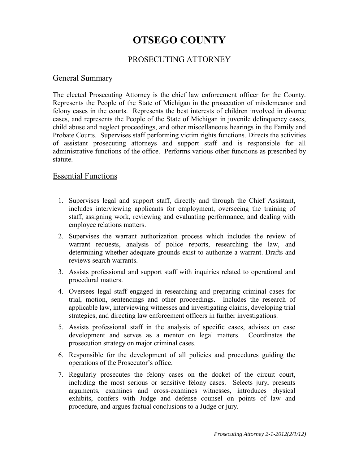# **OTSEGO COUNTY**

### PROSECUTING ATTORNEY

### General Summary

The elected Prosecuting Attorney is the chief law enforcement officer for the County. Represents the People of the State of Michigan in the prosecution of misdemeanor and felony cases in the courts. Represents the best interests of children involved in divorce cases, and represents the People of the State of Michigan in juvenile delinquency cases, child abuse and neglect proceedings, and other miscellaneous hearings in the Family and Probate Courts. Supervises staff performing victim rights functions. Directs the activities of assistant prosecuting attorneys and support staff and is responsible for all administrative functions of the office. Performs various other functions as prescribed by statute.

### Essential Functions

- 1. Supervises legal and support staff, directly and through the Chief Assistant, includes interviewing applicants for employment, overseeing the training of staff, assigning work, reviewing and evaluating performance, and dealing with employee relations matters.
- 2. Supervises the warrant authorization process which includes the review of warrant requests, analysis of police reports, researching the law, and determining whether adequate grounds exist to authorize a warrant. Drafts and reviews search warrants.
- 3. Assists professional and support staff with inquiries related to operational and procedural matters.
- 4. Oversees legal staff engaged in researching and preparing criminal cases for trial, motion, sentencings and other proceedings. Includes the research of applicable law, interviewing witnesses and investigating claims, developing trial strategies, and directing law enforcement officers in further investigations.
- 5. Assists professional staff in the analysis of specific cases, advises on case development and serves as a mentor on legal matters. Coordinates the prosecution strategy on major criminal cases.
- 6. Responsible for the development of all policies and procedures guiding the operations of the Prosecutor's office.
- 7. Regularly prosecutes the felony cases on the docket of the circuit court, including the most serious or sensitive felony cases. Selects jury, presents arguments, examines and cross-examines witnesses, introduces physical exhibits, confers with Judge and defense counsel on points of law and procedure, and argues factual conclusions to a Judge or jury.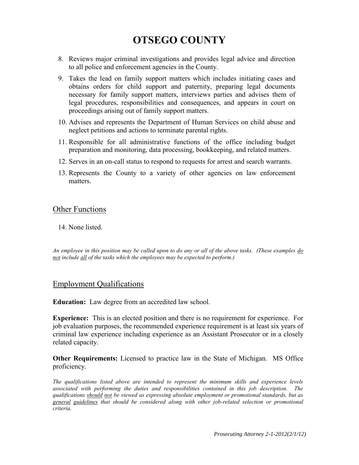# **OTSEGO COUNTY**

- 8. Reviews major criminal investigations and provides legal advice and direction to all police and enforcement agencies in the County.
- 9. Takes the lead on family support matters which includes initiating cases and obtains orders for child support and paternity, preparing legal documents necessary for family support matters, interviews parties and advises them of legal procedures, responsibilities and consequences, and appears in court on proceedings arising out of family support matters.
- 10. Advises and represents the Department of Human Services on child abuse and neglect petitions and actions to terminate parental rights.
- 11. Responsible for all administrative functions of the office including budget preparation and monitoring, data processing, bookkeeping, and related matters.
- 12. Serves in an on-call status to respond to requests for arrest and search warrants.
- 13. Represents the County to a variety of other agencies on law enforcement matters.

### Other Functions

14. None listed.

*An employee in this position may be called upon to do any or all of the above tasks. (These examples do not include all of the tasks which the employees may be expected to perform.)*

### Employment Qualifications

**Education:** Law degree from an accredited law school.

**Experience:** This is an elected position and there is no requirement for experience. For job evaluation purposes, the recommended experience requirement is at least six years of criminal law experience including experience as an Assistant Prosecutor or in a closely related capacity.

**Other Requirements:** Licensed to practice law in the State of Michigan. MS Office proficiency.

*The qualifications listed above are intended to represent the minimum skills and experience levels associated with performing the duties and responsibilities contained in this job description. The qualifications should not be viewed as expressing absolute employment or promotional standards, but as general guidelines that should be considered along with other job-related selection or promotional criteria.*